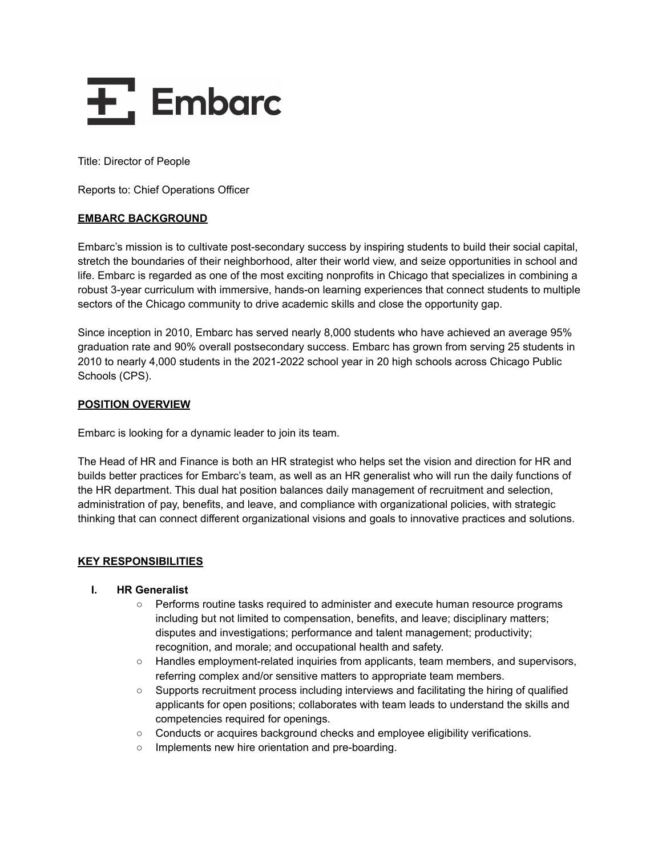

Title: Director of People

Reports to: Chief Operations Officer

## **EMBARC BACKGROUND**

Embarc's mission is to cultivate post-secondary success by inspiring students to build their social capital, stretch the boundaries of their neighborhood, alter their world view, and seize opportunities in school and life. Embarc is regarded as one of the most exciting nonprofits in Chicago that specializes in combining a robust 3-year curriculum with immersive, hands-on learning experiences that connect students to multiple sectors of the Chicago community to drive academic skills and close the opportunity gap.

Since inception in 2010, Embarc has served nearly 8,000 students who have achieved an average 95% graduation rate and 90% overall postsecondary success. Embarc has grown from serving 25 students in 2010 to nearly 4,000 students in the 2021-2022 school year in 20 high schools across Chicago Public Schools (CPS).

## **POSITION OVERVIEW**

Embarc is looking for a dynamic leader to join its team.

The Head of HR and Finance is both an HR strategist who helps set the vision and direction for HR and builds better practices for Embarc's team, as well as an HR generalist who will run the daily functions of the HR department. This dual hat position balances daily management of recruitment and selection, administration of pay, benefits, and leave, and compliance with organizational policies, with strategic thinking that can connect different organizational visions and goals to innovative practices and solutions.

## **KEY RESPONSIBILITIES**

#### **I. HR Generalist**

- Performs routine tasks required to administer and execute human resource programs including but not limited to compensation, benefits, and leave; disciplinary matters; disputes and investigations; performance and talent management; productivity; recognition, and morale; and occupational health and safety.
- $\circ$  Handles employment-related inquiries from applicants, team members, and supervisors, referring complex and/or sensitive matters to appropriate team members.
- Supports recruitment process including interviews and facilitating the hiring of qualified applicants for open positions; collaborates with team leads to understand the skills and competencies required for openings.
- Conducts or acquires background checks and employee eligibility verifications.
- Implements new hire orientation and pre-boarding.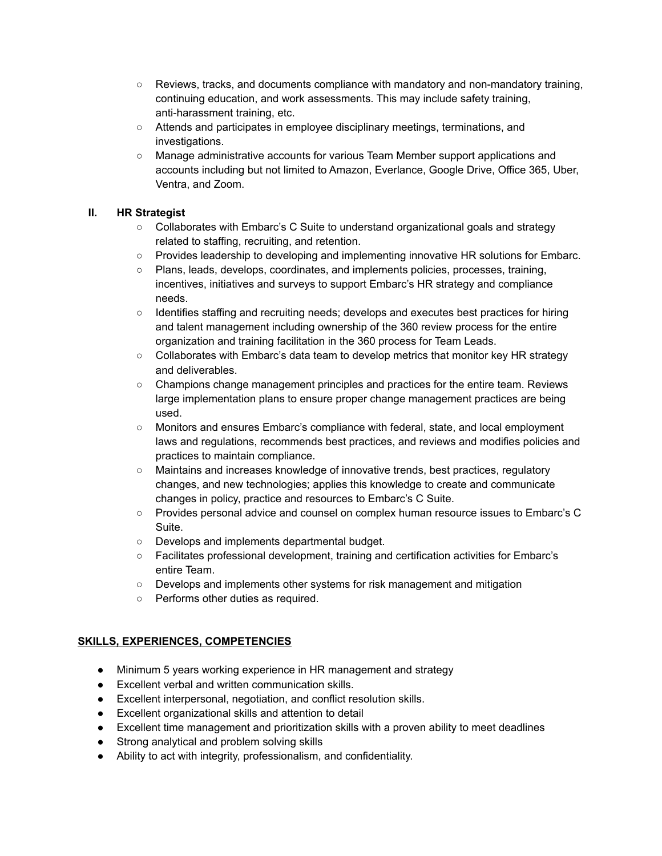- $\circ$  Reviews, tracks, and documents compliance with mandatory and non-mandatory training, continuing education, and work assessments. This may include safety training, anti-harassment training, etc.
- Attends and participates in employee disciplinary meetings, terminations, and investigations.
- Manage administrative accounts for various Team Member support applications and accounts including but not limited to Amazon, Everlance, Google Drive, Office 365, Uber, Ventra, and Zoom.

# **II. HR Strategist**

- Collaborates with Embarc's C Suite to understand organizational goals and strategy related to staffing, recruiting, and retention.
- Provides leadership to developing and implementing innovative HR solutions for Embarc.
- Plans, leads, develops, coordinates, and implements policies, processes, training, incentives, initiatives and surveys to support Embarc's HR strategy and compliance needs.
- Identifies staffing and recruiting needs; develops and executes best practices for hiring and talent management including ownership of the 360 review process for the entire organization and training facilitation in the 360 process for Team Leads.
- Collaborates with Embarc's data team to develop metrics that monitor key HR strategy and deliverables.
- Champions change management principles and practices for the entire team. Reviews large implementation plans to ensure proper change management practices are being used.
- Monitors and ensures Embarc's compliance with federal, state, and local employment laws and regulations, recommends best practices, and reviews and modifies policies and practices to maintain compliance.
- Maintains and increases knowledge of innovative trends, best practices, regulatory changes, and new technologies; applies this knowledge to create and communicate changes in policy, practice and resources to Embarc's C Suite.
- Provides personal advice and counsel on complex human resource issues to Embarc's C Suite.
- Develops and implements departmental budget.
- Facilitates professional development, training and certification activities for Embarc's entire Team.
- Develops and implements other systems for risk management and mitigation
- Performs other duties as required.

# **SKILLS, EXPERIENCES, COMPETENCIES**

- Minimum 5 years working experience in HR management and strategy
- Excellent verbal and written communication skills.
- Excellent interpersonal, negotiation, and conflict resolution skills.
- Excellent organizational skills and attention to detail
- Excellent time management and prioritization skills with a proven ability to meet deadlines
- Strong analytical and problem solving skills
- Ability to act with integrity, professionalism, and confidentiality.